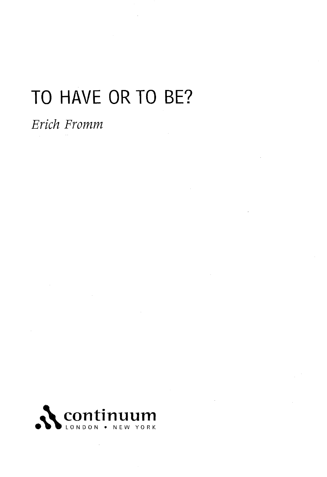# TO HAVE OR TO BE?

*Erich Fromm*

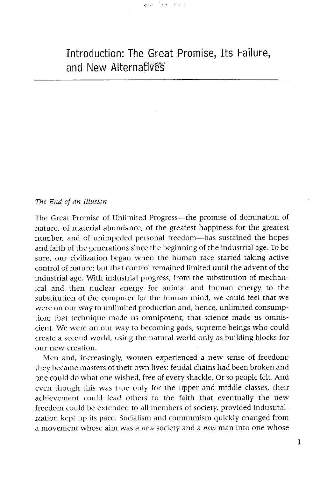**DATA** 

## *The End of an Illusion*

The Great Promise of Unlimited Progress—the promise of domination of nature, of material abundance, of the greatest happiness for the greatest number, and of unimpeded personal freedom—has sustained the hopes and faith of the generations since the beginning of the industrial age. To be sure, our civilization began when the human race started taking active control of nature; but that control remained limited until the advent of the industrial age. With industrial progress, from the substitution of mechanical and then nuclear energy for animal and human energy to the substitution of the computer for the human mind, we could feel that we were on our way to unlimited production and, hence, unlimited consumption; that technique made us omnipotent; that science made us omniscient. We were on our way to becoming gods, supreme beings who could create a second world, using the natural world only as building blocks for our new creation.

Men and, increasingly, women experienced a new sense of freedom; they became masters of their own lives: feudal chains had been broken and one could do what one wished, free of every shackle. Or so people felt. And even though this was true only for the upper and middle classes, their achievement could lead others to the faith that eventually the new freedom could be extended to all members of society, provided industrialization kept up its pace. Socialism and communism quickly changed from a movement whose aim was a *new* society and a *new* man into one whose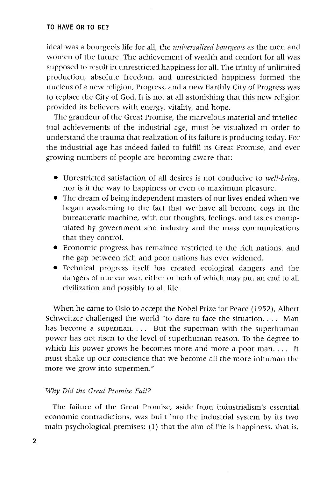ideal was a bourgeois life for all, the *universalized bourgeois* as the men and women of the future. The achievement of wealth and comfort for all was supposed to result in unrestricted happiness for all. The trinity of unlimited production, absolute freedom, and unrestricted happiness formed the nucleus of a new religion, Progress, and a new Earthly City of Progress was to replace the City of God. It is not at all astonishing that this new religion provided its believers with energy, vitality, and hope.

The grandeur of the Great Promise, the marvelous material and intellectual achievements of the industrial age, must be visualized in order to understand the trauma that realization of its failure is producing today. For the industrial age has indeed failed to fulfill its Great Promise, and ever growing numbers of people are becoming aware that:

- Unrestricted satisfaction of all desires is not conducive to *well-being,* nor is it the way to happiness or even to maximum pleasure.
- The dream of being independent masters of our lives ended when we began awakening to the fact that we have all become cogs in the bureaucratic machine, with our thoughts, feelings, and tastes manipulated by government and industry and the mass communications that they control.
- Economic progress has remained restricted to the rich nations, and the gap between rich and poor nations has ever widened.
- Technical progress itself has created ecological dangers and the dangers of nuclear war, either or both of which may put an end to all civilization and possibly to all life.

When he came to Oslo to accept the Nobel Prize for Peace (1952), Albert Schweitzer challenged the world "to dare to face the situation. . . . Man has become a superman.... But the superman with the superhuman power has not risen to the level of superhuman reason. To the degree to which his power grows he becomes more and more a poor man.... It must shake up our conscience that we become all the more inhuman the more we grow into supermen."

### *Why Did the Great Promise Fail?*

The failure of the Great Promise, aside from industrialism's essential economic contradictions, was built into the industrial system by its two main psychological premises: (1) that the aim of life is happiness, that is,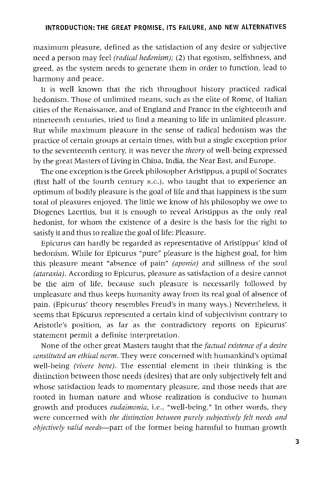#### INTRODUCTION: THE GREAT PROMISE, ITS FAILURE, AND NEW ALTERNATIVES

maximum pleasure, defined as the satisfaction of any desire or subjective need a person may feel *(radical hedonism);* (2) that egotism, selfishness, and greed, as the system needs to generate them in order to function, lead to harmony and peace.

It is well known that the rich throughout history practiced radical hedonism. Those of unlimited means, such as the elite of Rome, of Italian cities of the Renaissance, and of England and France in the eighteenth and nineteenth centuries, tried to find a meaning to life in unlimited pleasure. But while maximum pleasure in the sense of radical hedonism was the practice of certain groups at certain times, with but a single exception prior to the seventeenth century, it was never the *theory* of well-being expressed by the great Masters of Living in China, India, the Near East, and Europe.

The one exception is the Greek philosopher Aristippus, a pupil of Socrates (first half of the fourth century B.C.), who taught that to experience an optimum of bodily pleasure is the goal of life and that happiness is the sum total of pleasures enjoyed. The little we know of his philosophy we owe to Diogenes Laertius, but it is enough to reveal Aristippus as the only real hedonist, for whom the existence of a desire is the basis for the right to satisfy it and thus to realize the goal of life: Pleasure.

Epicurus can hardly be regarded as representative of Aristippus' kind of hedonism. While for Epicurus "pure" pleasure is the highest goal, for him this pleasure meant "absence of pain" *(aponia)* and stillness of the soul *(ataraxia).* According to Epicurus, pleasure as satisfaction of a desire cannot be the aim of life, because such pleasure is necessarily followed by unpleasure and thus keeps humanity away from its real goal of absence of pain. (Epicurus' theory resembles Freud's in many ways.) Nevertheless, it seems that Epicurus represented a certain kind of subjectivism contrary to Aristotle's position, as far as the contradictory reports on Epicurus' statement permit a definite interpretation.

None of the other great Masters taught that the *factual existence of a desire constituted an ethical norm.* They were concerned with humankind's optimal well-being *(vivere bene).* The essential element in their thinking is the distinction between those needs (desires) that are only subjectively felt and whose satisfaction leads to momentary pleasure, and those needs that are rooted in human nature and whose realization is conducive to human growth and produces *eudaimonia,* i.e., "well-being." In other words, they were concerned with *the distinction between purely subjectively felt needs and objectively valid needs—part* of the former being harmful to human growth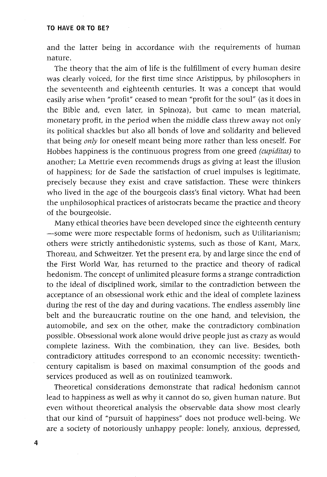#### TO HAVE OR TO BE?

and the latter being in accordance with the requirements of human nature.

The theory that the aim of life is the fulfillment of every human desire was clearly voiced, for the first time since Aristippus, by philosophers in the seventeenth and eighteenth centuries. It was a concept that would easily arise when "profit" ceased to mean "profit for the soul" (as it does in the Bible and, even later, in Spinoza), but came to mean material, monetary profit, in the period when the middle class threw away not only its political shackles but also all bonds of love and solidarity and believed that being *only* for oneself meant being more rather than less oneself. For Hobbes happiness is the continuous progress from one greed *(cupiditas)* to another; La Mettrie even recommends drugs as giving at least the illusion of happiness; for de Sade the satisfaction of cruel impulses is legitimate, precisely because they exist and crave satisfaction. These were thinkers who lived in the age of the bourgeois class's final victory. What had been the unphilosophical practices of aristocrats became the practice and theory of the bourgeoisie.

Many ethical theories have been developed since the eighteenth century —some were more respectable forms of hedonism, such as Utilitarianism; others were strictly antihedonistic systems, such as those of Kant, Marx, Thoreau, and Schweitzer. Yet the present era, by and large since the end of the First World War, has returned to the practice and theory of radical hedonism. The concept of unlimited pleasure forms a strange contradiction to the ideal of disciplined work, similar to the contradiction between the acceptance of an obsessional work ethic and the ideal of complete laziness during the rest of the day and during vacations. The endless assembly line belt and the bureaucratic routine on the one hand, and television, the automobile, and sex on the other, make the contradictory combination possible. Obsessional work alone would drive people just as crazy as would complete laziness. With the combination, they can live. Besides, both contradictory attitudes correspond to an economic necessity: twentiethcentury capitalism is based on maximal consumption of the goods and services produced as well as on routinized teamwork.

Theoretical considerations demonstrate that radical hedonism cannot lead to happiness as well as why it cannot do so, given human nature. But even without theoretical analysis the observable data show most clearly that our kind of "pursuit of happiness" does not produce well-being. We are a society of notoriously unhappy people: lonely, anxious, depressed,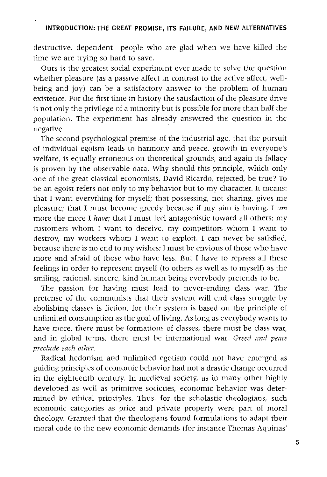destructive, dependent—people who are glad when we have killed the time we are trying so hard to save.

Ours is the greatest social experiment ever made to solve the question whether pleasure (as a passive affect in contrast to the active affect, wellbeing and joy) can be a satisfactory answer to the problem of human existence. For the first time in history the satisfaction of the pleasure drive is not only the privilege of a minority but is possible for more than half the population. The experiment has already answered the question in the negative.

The second psychological premise of the industrial age, that the pursuit of individual egoism leads to harmony and peace, growth in everyone's welfare, is equally erroneous on theoretical grounds, and again its fallacy is proven by the observable data. Why should this principle, which only one of the great classical economists, David Ricardo, rejected, be true? To be an egoist refers not only to my behavior but to my character. It means: that I want everything for myself; that possessing, not sharing, gives me pleasure; that I must become greedy because if my aim is having, I *am* more the more I *have;* that I must feel antagonistic toward all others: my customers whom I want to deceive, my competitors whom I want to destroy, my workers whom I want to exploit. I can never be satisfied, because there is no end to my wishes; I must be envious of those who have more and afraid of those who have less. But I have to repress all these feelings in order to represent myself (to others as well as to myself) as the smiling, rational, sincere, kind human being everybody pretends to be.

The passion for having must lead to never-ending class war. The pretense of the communists that their system will end class struggle by abolishing classes is fiction, for their system is based on the principle of unlimited consumption as the goal of living. As long as everybody wants to have more, there must be formations of classes, there must be class war, and in global terms, there must be international war. *Greed and peace preclude each other.*

Radical hedonism and unlimited egotism could not have emerged as guiding principles of economic behavior had not a drastic change occurred in the eighteenth century. In medieval society, as in many other highly developed as well as primitive societies, economic behavior was determined by ethical principles. Thus, for the scholastic theologians, such economic categories as price and private property were part of moral theology. Granted that the theologians found formulations to adapt their moral code to the new economic demands (for instance Thomas Aquinas'

5